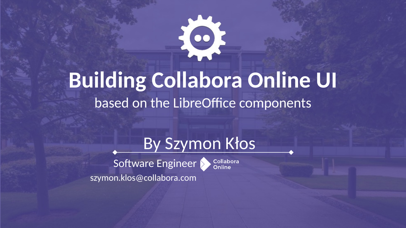

# **Building Collabora Online UI**

based on the LibreOffice components



Collabora<br>Online

Software Engineer szymon.klos@collabora.com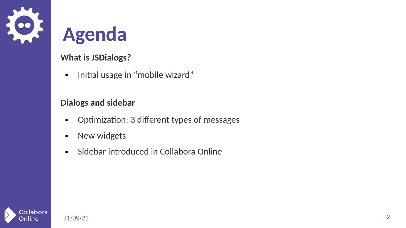

### **Agenda**

#### **What is JSDialogs?**

• Initial usage in "mobile wizard"

#### **Dialogs and sidebar**

- Optimization: 3 different types of messages
- New widgets
- Sidebar introduced in Collabora Online

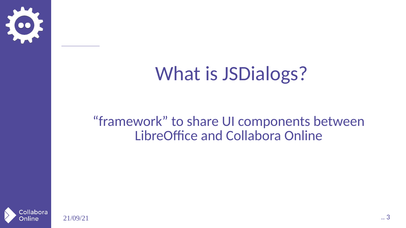

### What is JSDialogs?

#### "framework" to share UI components between LibreOffice and Collabora Online

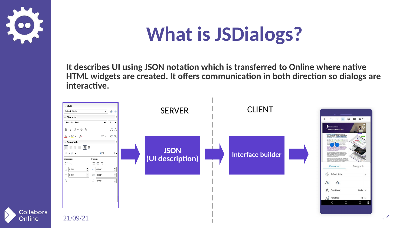

Online

## **What is JSDialogs?**

**It describes UI using JSON notation which is transferred to Online where native HTML widgets are created. It offers communication in both direction so dialogs are interactive.**

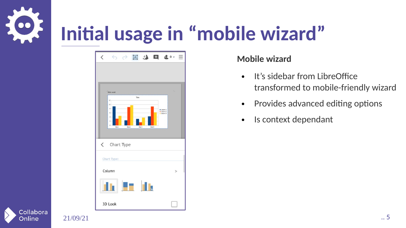

| $\overline{\left\langle \right\rangle }$ | ○○ 国 お 日 まい 三      |       |                  |        |                     |        |
|------------------------------------------|--------------------|-------|------------------|--------|---------------------|--------|
|                                          |                    |       |                  |        |                     |        |
|                                          |                    |       |                  |        |                     |        |
|                                          | Hello world        |       |                  |        | t.                  |        |
| 12<br>$10\,$                             |                    | Title |                  |        |                     |        |
| $\theta$<br>6 <sup>1</sup>               |                    |       |                  | Coker1 | Cokern2<br>Column 3 |        |
| 41<br>$2-$                               |                    |       |                  |        |                     |        |
| 0                                        | Row 1              | Row 2 | Row <sub>3</sub> | Rose 4 |                     |        |
|                                          |                    |       |                  |        |                     |        |
|                                          | $\zeta$ Chart Type |       |                  |        |                     |        |
| Chart Type:                              |                    |       |                  |        |                     |        |
| Column                                   |                    |       |                  |        |                     | $\geq$ |
|                                          |                    |       |                  |        |                     |        |
|                                          |                    | F     |                  |        |                     |        |
|                                          |                    |       |                  |        |                     |        |
| 3D Look                                  |                    |       |                  |        |                     |        |

#### **Mobile wizard**

- It's sidebar from LibreOffice transformed to mobile-friendly wizard
- Provides advanced editing options
- Is context dependant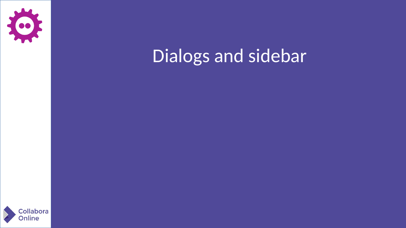

### Dialogs and sidebar

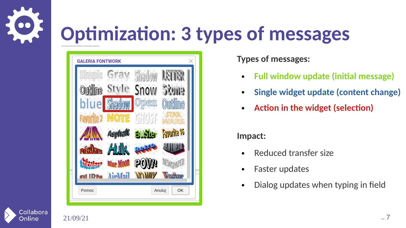

## **Optimization: 3 types of messages**



**Types of messages:**

- **Full window update (initial message)**
- **Single widget update (content change)**
- **Action in the widget (selection)**

#### **Impact:**

- **Reduced transfer size**
- Faster updates
- Dialog updates when typing in field



Online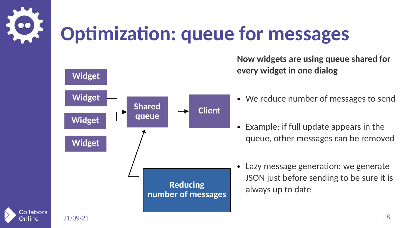



collabora **)nline** 

**Now widgets are using queue shared for every widget in one dialog**

- We reduce number of messages to send
- Example: if full update appears in the queue, other messages can be removed
- Lazy message generation: we generate JSON just before sending to be sure it is always up to date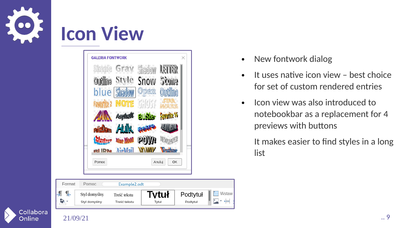

### **Icon View**



- New fontwork dialog
- $\bullet$  It uses native icon view best choice for set of custom rendered entries
- Icon view was also introduced to notebookbar as a replacement for 4 previews with buttons

It makes easier to find styles in a long list

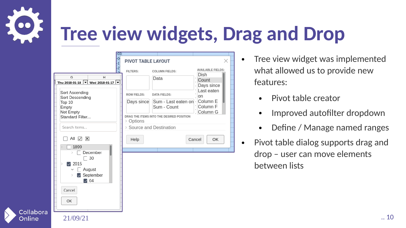# **Tree view widgets, Drag and Drop**

| <b>FOST</b><br>$\frac{-0}{-1}$<br>H<br>G<br>Thu 2018-01-18 ved 2018-01-17<br>Sort Ascending<br>Sort Descending<br>Top $10$<br>Empty<br>Not Empty<br>Standard Filter<br>Search items<br>$\checkmark$<br>$\times$<br>All<br>1899<br>December<br>30<br>$\triangledown$ 2015<br>August<br>$\triangleright$ September<br>$\triangledown$ 04<br>Cancel | $\times$<br>PIVOT TABLE LAYOUT<br><b>AVAILABLE FIELDS:</b><br><b>FILTERS:</b><br><b>COLUMN FIELDS:</b><br>Dish<br>Data<br>Count<br>Days since<br>Last eaten<br><b>ROW FIELDS:</b><br><b>DATA FIELDS:</b><br>on<br>Column E<br>Days since<br>Sum - Last eaten on<br>Column <sub>F</sub><br>Sum - Count<br>Column G<br>DRAG THE ITEMS INTO THE DESIRED POSITION<br>Options<br>Source and Destination<br>Help<br>Cancel<br>OK | Tree view widget was implemented<br>$\bullet$<br>what allowed us to provide new<br>features:<br>Pivot table creator<br>$\bullet$<br>Improved autofilter dropdown<br>$\bullet$<br>Define / Manage named ranges<br>$\bullet$<br>Pivot table dialog supports drag and<br>$\bullet$<br>drop - user can move elements<br>between lists |
|--------------------------------------------------------------------------------------------------------------------------------------------------------------------------------------------------------------------------------------------------------------------------------------------------------------------------------------------------|----------------------------------------------------------------------------------------------------------------------------------------------------------------------------------------------------------------------------------------------------------------------------------------------------------------------------------------------------------------------------------------------------------------------------|-----------------------------------------------------------------------------------------------------------------------------------------------------------------------------------------------------------------------------------------------------------------------------------------------------------------------------------|
| OK<br>21/09/21                                                                                                                                                                                                                                                                                                                                   |                                                                                                                                                                                                                                                                                                                                                                                                                            | $\ldots$ 10                                                                                                                                                                                                                                                                                                                       |

ollabora nlıne

- Tree view widget was implemented what allowed us to provide new features:
	- Pivot table creator
	- Improved autofilter dropdown
	- Define / Manage named ranges
- Pivot table dialog supports drag and drop – user can move elements between lists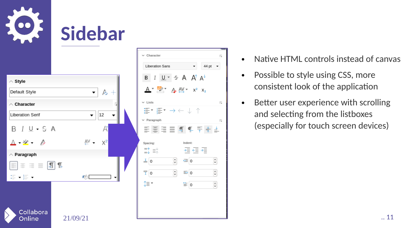

|                                                    | Libera                 |
|----------------------------------------------------|------------------------|
| $\wedge$ Style                                     | в                      |
| $\kappa$ +<br>Default Style                        |                        |
| $\wedge$ Character<br>Π                            | $\vee$ Lists           |
| 12<br><b>Liberation Serif</b>                      | 這▼                     |
| $B$ $I$ $U$ $\sim$ $S$ A<br>Á                      | $\vee$ Parag<br>国目     |
| AV -<br>$X^2$                                      | Spacing:               |
| $\wedge$ Paragraph                                 | $\equiv$ $\uparrow$    |
| $\equiv$ $\equiv$ $ \mathbf{A} $ $\mathbf{I}$<br>≡ | $\equiv$ 0             |
| $\Xi$ + $\Xi$ +<br>ে                               | $\frac{1}{\sqrt{1}}$ 0 |
|                                                    | 1≣*                    |
|                                                    |                        |
| Collabora<br>↘                                     |                        |

Online

| $\kappa$ +<br>$\overline{\phantom{a}}$ | $\vee$ Character<br>$\overline{\mathbf{y}}$<br><b>Liberation Sans</b><br>44 pt<br>B $I \cup Y = A A^T A^T$<br>$A^*$ and $A$ $A$ $Y^*$ $x^2$ $x_2$                                                                                          | Native HTML controls instead of cany<br>$\bullet$<br>Possible to style using CSS, more<br>$\bullet$<br>consistent look of the application |
|----------------------------------------|--------------------------------------------------------------------------------------------------------------------------------------------------------------------------------------------------------------------------------------------|-------------------------------------------------------------------------------------------------------------------------------------------|
| 12<br>$\overline{\phantom{a}}$<br>Ä    | $\times$ Lists<br>$\overline{\mathbf{y}}$<br>違▼ 編▼ → ← ↓ ↑<br>$\vee$ Paragraph<br>$\overline{\mathbf{y}}$<br>国連重量ののテキュ                                                                                                                     | Better user experience with scrolling<br>$\bullet$<br>and selecting from the listboxes<br>(especially for touch screen devices)           |
| A⊻ –<br>$X^2$<br>$\mathbb{R}^{\circ}$  | Indent:<br>Spacing:<br>$\frac{1}{\sqrt{2}}$ $\frac{1}{\sqrt{2}}$ $\frac{1}{\sqrt{2}}$<br>≔↑ ≡⊹<br>္ခု<br>$\frac{1}{2}$<br>$\equiv$ 0<br>$E = 0$<br>$\odot$<br>$\frac{1}{\sqrt{1}}$<br>$\odot$<br>$\equiv$ 0<br>⊕‡<br>$\equiv$ 0<br>$\odot$ |                                                                                                                                           |
| 21/09/21                               |                                                                                                                                                                                                                                            | 11                                                                                                                                        |

- Native HTML controls instead of canvas
- Possible to style using CSS, more consistent look of the application
- Better user experience with scrolling and selecting from the listboxes (especially for touch screen devices)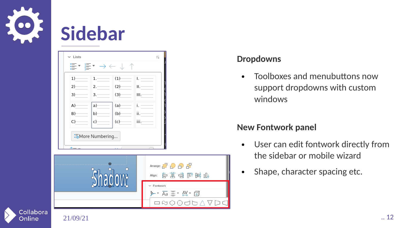

**Dnline** 

### **Sidebar**

#### **Dropdowns**

• Toolboxes and menubuttons now support dropdowns with custom windows

#### **New Fontwork panel**

- User can edit fontwork directly from the sidebar or mobile wizard
- Shape, character spacing etc.